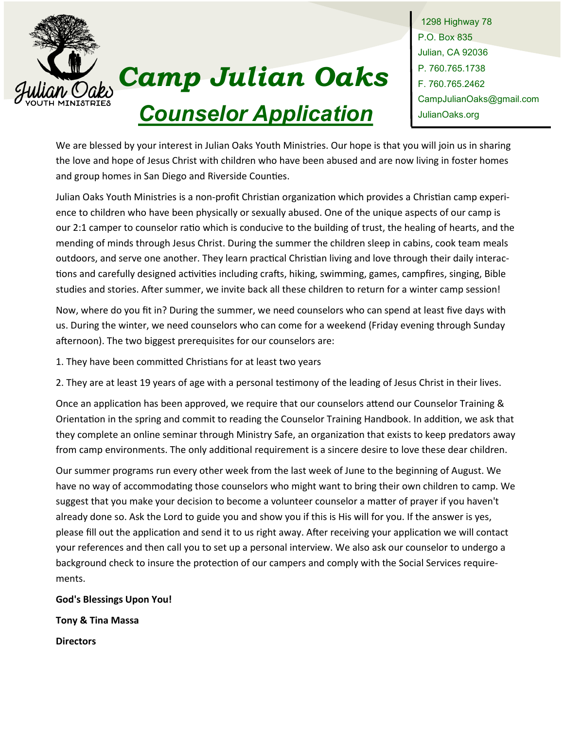

# *Camp Julian Oaks Counselor Application*

1298 Highway 78 P.O. Box 835 Julian, CA 92036 P. 760.765.1738 F. 760.765.2462 CampJulianOaks@gmail.com JulianOaks.org

We are blessed by your interest in Julian Oaks Youth Ministries. Our hope is that you will join us in sharing the love and hope of Jesus Christ with children who have been abused and are now living in foster homes and group homes in San Diego and Riverside Counties.

Julian Oaks Youth Ministries is a non-profit Christian organization which provides a Christian camp experience to children who have been physically or sexually abused. One of the unique aspects of our camp is our 2:1 camper to counselor ratio which is conducive to the building of trust, the healing of hearts, and the mending of minds through Jesus Christ. During the summer the children sleep in cabins, cook team meals outdoors, and serve one another. They learn practical Christian living and love through their daily interactions and carefully designed activities including crafts, hiking, swimming, games, campfires, singing, Bible studies and stories. After summer, we invite back all these children to return for a winter camp session!

Now, where do you fit in? During the summer, we need counselors who can spend at least five days with us. During the winter, we need counselors who can come for a weekend (Friday evening through Sunday afternoon). The two biggest prerequisites for our counselors are:

1. They have been committed Christians for at least two years

2. They are at least 19 years of age with a personal testimony of the leading of Jesus Christ in their lives.

Once an application has been approved, we require that our counselors attend our Counselor Training & Orientation in the spring and commit to reading the Counselor Training Handbook. In addition, we ask that they complete an online seminar through Ministry Safe, an organization that exists to keep predators away from camp environments. The only additional requirement is a sincere desire to love these dear children.

Our summer programs run every other week from the last week of June to the beginning of August. We have no way of accommodating those counselors who might want to bring their own children to camp. We suggest that you make your decision to become a volunteer counselor a matter of prayer if you haven't already done so. Ask the Lord to guide you and show you if this is His will for you. If the answer is yes, please fill out the application and send it to us right away. After receiving your application we will contact your references and then call you to set up a personal interview. We also ask our counselor to undergo a background check to insure the protection of our campers and comply with the Social Services requirements.

**God's Blessings Upon You!** 

**Tony & Tina Massa** 

**Directors**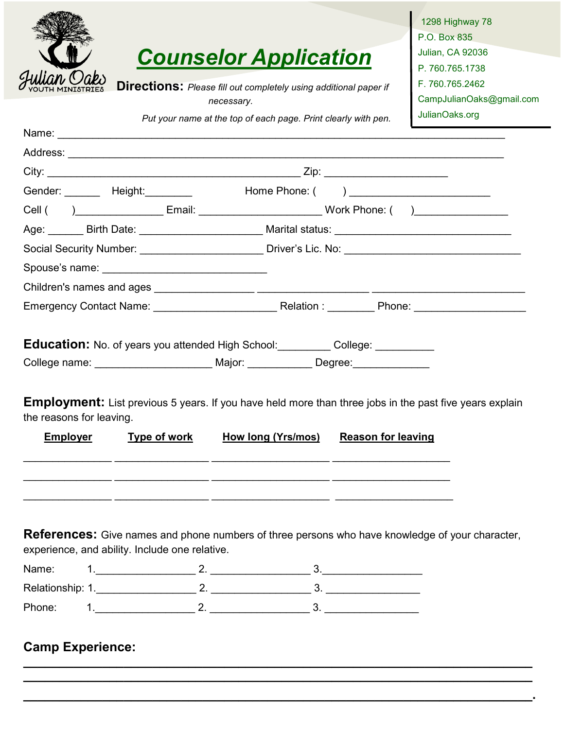|                                                                                                                                                                                                                                                                                                                               | <b>Counselor Application</b><br><b>Directions:</b> Please fill out completely using additional paper if<br>necessary. |                                               | 1298 Highway 78<br>P.O. Box 835<br>Julian, CA 92036<br>P. 760.765.1738<br>F. 760.765.2462<br>CampJulianOaks@gmail.com |  |  |  |  |  |
|-------------------------------------------------------------------------------------------------------------------------------------------------------------------------------------------------------------------------------------------------------------------------------------------------------------------------------|-----------------------------------------------------------------------------------------------------------------------|-----------------------------------------------|-----------------------------------------------------------------------------------------------------------------------|--|--|--|--|--|
|                                                                                                                                                                                                                                                                                                                               | Put your name at the top of each page. Print clearly with pen.                                                        |                                               | JulianOaks.org                                                                                                        |  |  |  |  |  |
|                                                                                                                                                                                                                                                                                                                               |                                                                                                                       |                                               |                                                                                                                       |  |  |  |  |  |
|                                                                                                                                                                                                                                                                                                                               |                                                                                                                       |                                               |                                                                                                                       |  |  |  |  |  |
| Gender: ________ Height: ________                                                                                                                                                                                                                                                                                             |                                                                                                                       | Home Phone: ( ) _____________________________ |                                                                                                                       |  |  |  |  |  |
| Cell ( )______________________Email: ________________________________Work Phone: ( )________________                                                                                                                                                                                                                          |                                                                                                                       |                                               |                                                                                                                       |  |  |  |  |  |
| Age: _______ Birth Date: ________________________ Marital status: __________________________________                                                                                                                                                                                                                          |                                                                                                                       |                                               |                                                                                                                       |  |  |  |  |  |
|                                                                                                                                                                                                                                                                                                                               |                                                                                                                       |                                               |                                                                                                                       |  |  |  |  |  |
|                                                                                                                                                                                                                                                                                                                               |                                                                                                                       |                                               |                                                                                                                       |  |  |  |  |  |
|                                                                                                                                                                                                                                                                                                                               |                                                                                                                       |                                               |                                                                                                                       |  |  |  |  |  |
|                                                                                                                                                                                                                                                                                                                               |                                                                                                                       |                                               |                                                                                                                       |  |  |  |  |  |
| <b>Education:</b> No. of years you attended High School: College: College: __________<br>College name: __________________________ Major: ______________ Degree: _______________<br><b>Employment:</b> List previous 5 years. If you have held more than three jobs in the past five years explain<br>the reasons for leaving. |                                                                                                                       |                                               |                                                                                                                       |  |  |  |  |  |
| <b>Employer</b><br><u>Type of work</u>                                                                                                                                                                                                                                                                                        | <b>How long (Yrs/mos)</b>                                                                                             | <b>Reason for leaving</b>                     |                                                                                                                       |  |  |  |  |  |
|                                                                                                                                                                                                                                                                                                                               |                                                                                                                       |                                               |                                                                                                                       |  |  |  |  |  |
| <b>References:</b> Give names and phone numbers of three persons who have knowledge of your character,<br>experience, and ability. Include one relative.                                                                                                                                                                      |                                                                                                                       |                                               |                                                                                                                       |  |  |  |  |  |
| Name:                                                                                                                                                                                                                                                                                                                         | $1.$ $2.$ $2.$ $3.$ $3.$                                                                                              |                                               |                                                                                                                       |  |  |  |  |  |
|                                                                                                                                                                                                                                                                                                                               |                                                                                                                       |                                               |                                                                                                                       |  |  |  |  |  |
| Phone:                                                                                                                                                                                                                                                                                                                        | $1.$ $2.$ $2.$ $3.$ $3.$                                                                                              |                                               |                                                                                                                       |  |  |  |  |  |
| <b>Camp Experience:</b>                                                                                                                                                                                                                                                                                                       |                                                                                                                       |                                               |                                                                                                                       |  |  |  |  |  |

**\_\_\_\_\_\_\_\_\_\_\_\_\_\_\_\_\_\_\_\_\_\_\_\_\_\_\_\_\_\_\_\_\_\_\_\_\_\_\_\_\_\_\_\_\_\_\_\_\_\_\_\_\_\_\_\_\_\_\_\_\_\_\_\_\_\_\_\_\_\_\_**

**\_\_\_\_\_\_\_\_\_\_\_\_\_\_\_\_\_\_\_\_\_\_\_\_\_\_\_\_\_\_\_\_\_\_\_\_\_\_\_\_\_\_\_\_\_\_\_\_\_\_\_\_\_\_\_\_\_\_\_\_\_\_\_\_\_\_\_\_\_\_\_.**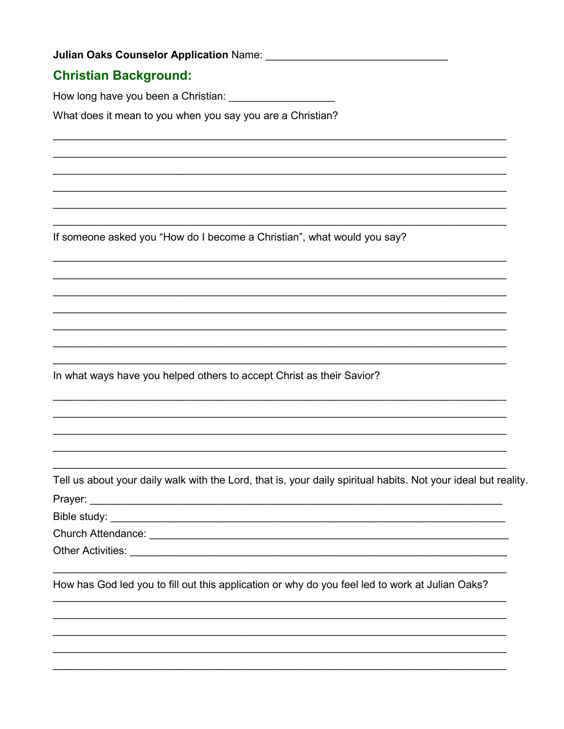#### **Christian Background:**

How long have you been a Christian:

What does it mean to you when you say you are a Christian?

If someone asked you "How do I become a Christian", what would you say?

In what ways have you helped others to accept Christ as their Savior?

Tell us about your daily walk with the Lord, that is, your daily spiritual habits. Not your ideal but reality. Prayer: <u>www.communications.communications.com</u>

Bible study:

How has God led you to fill out this application or why do you feel led to work at Julian Oaks?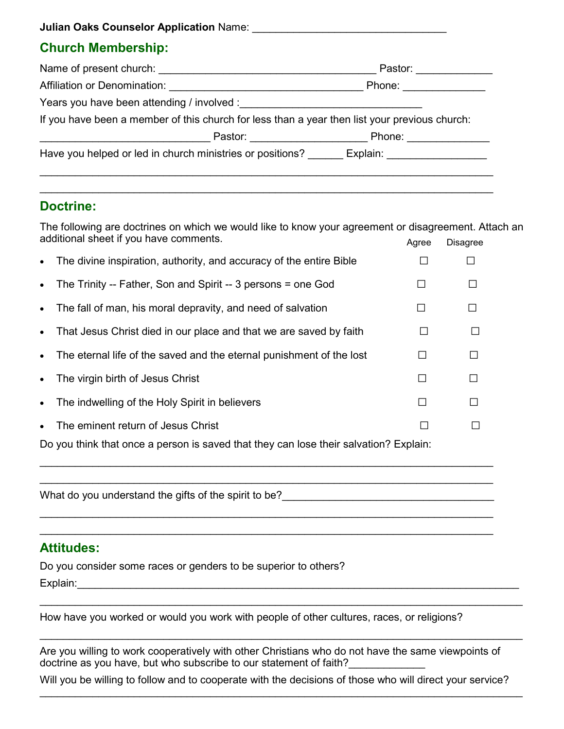**Julian Oaks Counselor Application** Name: \_\_\_\_\_\_\_\_\_\_\_\_\_\_\_\_\_\_\_\_\_\_\_\_\_\_\_\_\_\_\_\_\_

## **Church Membership:**

| Name of present church:                                                                       | Pastor:           |  |  |  |  |
|-----------------------------------------------------------------------------------------------|-------------------|--|--|--|--|
| Affiliation or Denomination:                                                                  | Phone:            |  |  |  |  |
| Years you have been attending / involved :                                                    |                   |  |  |  |  |
| If you have been a member of this church for less than a year then list your previous church: |                   |  |  |  |  |
| Pastor: _________________                                                                     |                   |  |  |  |  |
| Have you helped or led in church ministries or positions?                                     | Explain: ________ |  |  |  |  |
|                                                                                               |                   |  |  |  |  |

 $\mathcal{L}_\mathcal{L} = \mathcal{L}_\mathcal{L} = \mathcal{L}_\mathcal{L} = \mathcal{L}_\mathcal{L} = \mathcal{L}_\mathcal{L} = \mathcal{L}_\mathcal{L} = \mathcal{L}_\mathcal{L} = \mathcal{L}_\mathcal{L} = \mathcal{L}_\mathcal{L} = \mathcal{L}_\mathcal{L} = \mathcal{L}_\mathcal{L} = \mathcal{L}_\mathcal{L} = \mathcal{L}_\mathcal{L} = \mathcal{L}_\mathcal{L} = \mathcal{L}_\mathcal{L} = \mathcal{L}_\mathcal{L} = \mathcal{L}_\mathcal{L}$ 

### **Doctrine:**

The following are doctrines on which we would like to know your agreement or disagreement. Attach an additional sheet if you have comments. Agree Disagree

| $\bullet$ | The divine inspiration, authority, and accuracy of the entire Bible  |  |
|-----------|----------------------------------------------------------------------|--|
| $\bullet$ | The Trinity -- Father, Son and Spirit -- 3 persons = one God         |  |
| $\bullet$ | The fall of man, his moral depravity, and need of salvation          |  |
| $\bullet$ | That Jesus Christ died in our place and that we are saved by faith   |  |
| $\bullet$ | The eternal life of the saved and the eternal punishment of the lost |  |
| $\bullet$ | The virgin birth of Jesus Christ                                     |  |
| $\bullet$ | The indwelling of the Holy Spirit in believers                       |  |
| $\bullet$ | The eminent return of Jesus Christ                                   |  |

 $\mathcal{L}_\mathcal{L} = \mathcal{L}_\mathcal{L} = \mathcal{L}_\mathcal{L} = \mathcal{L}_\mathcal{L} = \mathcal{L}_\mathcal{L} = \mathcal{L}_\mathcal{L} = \mathcal{L}_\mathcal{L} = \mathcal{L}_\mathcal{L} = \mathcal{L}_\mathcal{L} = \mathcal{L}_\mathcal{L} = \mathcal{L}_\mathcal{L} = \mathcal{L}_\mathcal{L} = \mathcal{L}_\mathcal{L} = \mathcal{L}_\mathcal{L} = \mathcal{L}_\mathcal{L} = \mathcal{L}_\mathcal{L} = \mathcal{L}_\mathcal{L}$ 

 $\mathcal{L}_\mathcal{L} = \mathcal{L}_\mathcal{L} = \mathcal{L}_\mathcal{L} = \mathcal{L}_\mathcal{L} = \mathcal{L}_\mathcal{L} = \mathcal{L}_\mathcal{L} = \mathcal{L}_\mathcal{L} = \mathcal{L}_\mathcal{L} = \mathcal{L}_\mathcal{L} = \mathcal{L}_\mathcal{L} = \mathcal{L}_\mathcal{L} = \mathcal{L}_\mathcal{L} = \mathcal{L}_\mathcal{L} = \mathcal{L}_\mathcal{L} = \mathcal{L}_\mathcal{L} = \mathcal{L}_\mathcal{L} = \mathcal{L}_\mathcal{L}$ \_\_\_\_\_\_\_\_\_\_\_\_\_\_\_\_\_\_\_\_\_\_\_\_\_\_\_\_\_\_\_\_\_\_\_\_\_\_\_\_\_\_\_\_\_\_\_\_\_\_\_\_\_\_\_\_\_\_\_\_\_\_\_\_\_\_\_\_\_\_\_\_\_\_\_\_\_

\_\_\_\_\_\_\_\_\_\_\_\_\_\_\_\_\_\_\_\_\_\_\_\_\_\_\_\_\_\_\_\_\_\_\_\_\_\_\_\_\_\_\_\_\_\_\_\_\_\_\_\_\_\_\_\_\_\_\_\_\_\_\_\_\_\_\_\_\_\_\_\_\_\_\_\_\_

Do you think that once a person is saved that they can lose their salvation? Explain:

What do you understand the gifts of the spirit to be?<br>

## **Attitudes:**

Do you consider some races or genders to be superior to others? Explain:\_\_\_\_\_\_\_\_\_\_\_\_\_\_\_\_\_\_\_\_\_\_\_\_\_\_\_\_\_\_\_\_\_\_\_\_\_\_\_\_\_\_\_\_\_\_\_\_\_\_\_\_\_\_\_\_\_\_\_\_\_\_\_\_\_\_\_\_\_\_\_\_\_\_\_

How have you worked or would you work with people of other cultures, races, or religions?

Are you willing to work cooperatively with other Christians who do not have the same viewpoints of doctrine as you have, but who subscribe to our statement of faith?

 $\mathcal{L}_\text{max} = \frac{1}{2} \sum_{i=1}^{n} \frac{1}{2} \sum_{i=1}^{n} \frac{1}{2} \sum_{i=1}^{n} \frac{1}{2} \sum_{i=1}^{n} \frac{1}{2} \sum_{i=1}^{n} \frac{1}{2} \sum_{i=1}^{n} \frac{1}{2} \sum_{i=1}^{n} \frac{1}{2} \sum_{i=1}^{n} \frac{1}{2} \sum_{i=1}^{n} \frac{1}{2} \sum_{i=1}^{n} \frac{1}{2} \sum_{i=1}^{n} \frac{1}{2} \sum_{i=1}^{n} \frac{1$ 

Will you be willing to follow and to cooperate with the decisions of those who will direct your service? \_\_\_\_\_\_\_\_\_\_\_\_\_\_\_\_\_\_\_\_\_\_\_\_\_\_\_\_\_\_\_\_\_\_\_\_\_\_\_\_\_\_\_\_\_\_\_\_\_\_\_\_\_\_\_\_\_\_\_\_\_\_\_\_\_\_\_\_\_\_\_\_\_\_\_\_\_\_\_\_\_\_